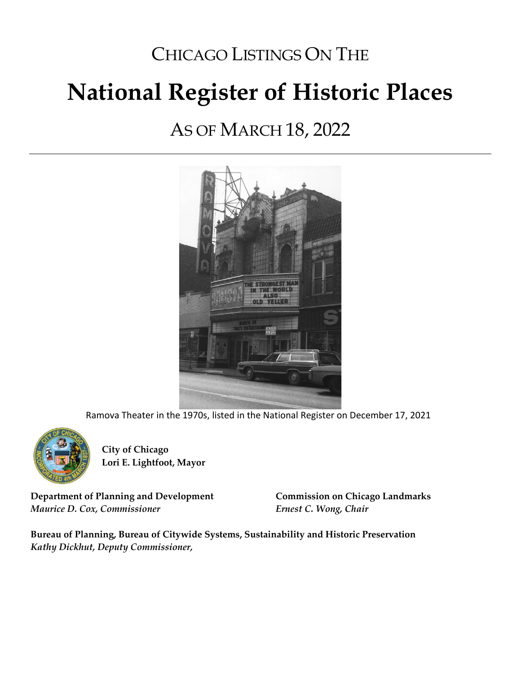# CHICAGO LISTINGS ON THE **National Register of Historic Places**

# AS OF MARCH 18, 2022



Ramova Theater in the 1970s, listed in the National Register on December 17, 2021



**City of Chicago Lori E. Lightfoot, Mayor**

**Department of Planning and Development Commission on Chicago Landmarks** *Maurice D. Cox, Commissioner Ernest C. Wong, Chair*

**Bureau of Planning, Bureau of Citywide Systems, Sustainability and Historic Preservation** *Kathy Dickhut, Deputy Commissioner,*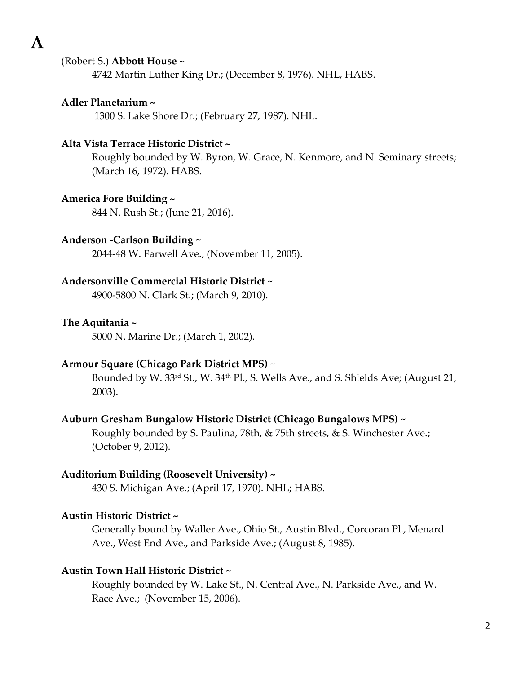# **A**

#### (Robert S.) **Abbott House ~**

4742 Martin Luther King Dr.; (December 8, 1976). NHL, HABS.

#### **Adler Planetarium ~**

1300 S. Lake Shore Dr.; (February 27, 1987). NHL.

#### **Alta Vista Terrace Historic District ~**

Roughly bounded by W. Byron, W. Grace, N. Kenmore, and N. Seminary streets; (March 16, 1972). HABS.

#### **America Fore Building ~**

844 N. Rush St.; (June 21, 2016).

#### **Anderson -Carlson Building** ~

2044-48 W. Farwell Ave.; (November 11, 2005).

#### **Andersonville Commercial Historic District** ~

4900-5800 N. Clark St.; (March 9, 2010).

#### **The Aquitania ~**

5000 N. Marine Dr.; (March 1, 2002).

#### **Armour Square (Chicago Park District MPS)** ~

Bounded by W. 33<sup>rd</sup> St., W. 34<sup>th</sup> Pl., S. Wells Ave., and S. Shields Ave; (August 21, 2003).

#### **Auburn Gresham Bungalow Historic District (Chicago Bungalows MPS)** ~

Roughly bounded by S. Paulina, 78th, & 75th streets, & S. Winchester Ave.; (October 9, 2012).

#### **Auditorium Building (Roosevelt University) ~**

430 S. Michigan Ave.; (April 17, 1970). NHL; HABS.

#### **Austin Historic District ~**

Generally bound by Waller Ave., Ohio St., Austin Blvd., Corcoran Pl., Menard Ave., West End Ave., and Parkside Ave.; (August 8, 1985).

#### **Austin Town Hall Historic District** ~

Roughly bounded by W. Lake St., N. Central Ave., N. Parkside Ave., and W. Race Ave.; (November 15, 2006).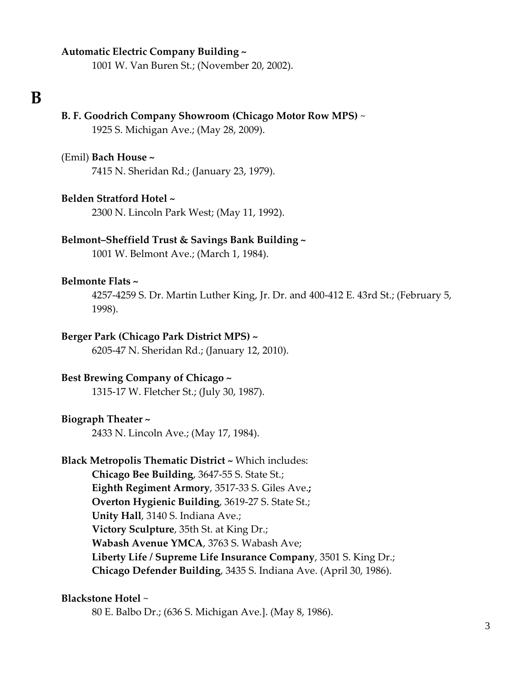#### **Automatic Electric Company Building ~**

1001 W. Van Buren St.; (November 20, 2002).

# **B**

#### **B. F. Goodrich Company Showroom (Chicago Motor Row MPS)** ~

1925 S. Michigan Ave.; (May 28, 2009).

#### (Emil) **Bach House ~**

7415 N. Sheridan Rd.; (January 23, 1979).

#### **Belden Stratford Hotel ~**

2300 N. Lincoln Park West; (May 11, 1992).

#### **Belmont–Sheffield Trust & Savings Bank Building ~**

1001 W. Belmont Ave.; (March 1, 1984).

#### **Belmonte Flats ~**

4257-4259 S. Dr. Martin Luther King, Jr. Dr. and 400-412 E. 43rd St.; (February 5, 1998).

#### **Berger Park (Chicago Park District MPS) ~**

6205-47 N. Sheridan Rd.; (January 12, 2010).

#### **Best Brewing Company of Chicago ~**

1315-17 W. Fletcher St.; (July 30, 1987).

#### **Biograph Theater ~**

2433 N. Lincoln Ave.; (May 17, 1984).

# **Black Metropolis Thematic District ~** Which includes:

**Chicago Bee Building**, 3647-55 S. State St.;

**Eighth Regiment Armory**, 3517-33 S. Giles Ave.**;** 

#### **Overton Hygienic Building**, 3619-27 S. State St.;

- **Unity Hall**, 3140 S. Indiana Ave.;
- **Victory Sculpture**, 35th St. at King Dr.;
- **Wabash Avenue YMCA**, 3763 S. Wabash Ave;
- **Liberty Life / Supreme Life Insurance Company**, 3501 S. King Dr.;

**Chicago Defender Building**, 3435 S. Indiana Ave. (April 30, 1986).

#### **Blackstone Hotel** ~

80 E. Balbo Dr.; (636 S. Michigan Ave.]. (May 8, 1986).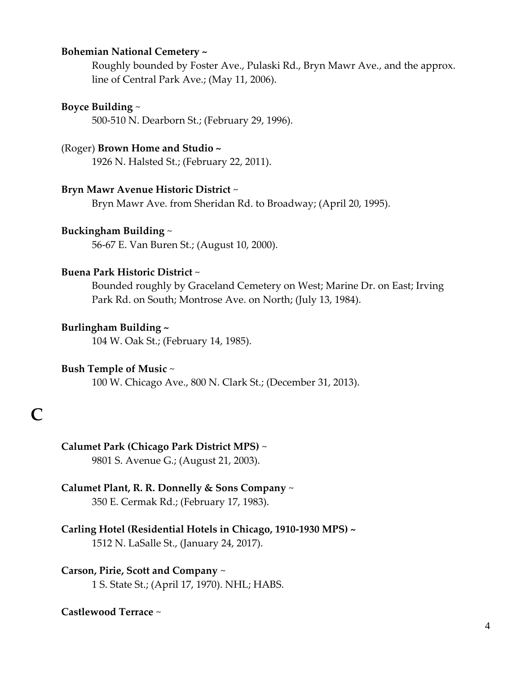#### **Bohemian National Cemetery ~**

Roughly bounded by Foster Ave., Pulaski Rd., Bryn Mawr Ave., and the approx. line of Central Park Ave.; (May 11, 2006).

#### **Boyce Building** ~

500-510 N. Dearborn St.; (February 29, 1996).

#### (Roger) **Brown Home and Studio ~**

1926 N. Halsted St.; (February 22, 2011).

#### **Bryn Mawr Avenue Historic District** ~

Bryn Mawr Ave. from Sheridan Rd. to Broadway; (April 20, 1995).

#### **Buckingham Building** ~

56-67 E. Van Buren St.; (August 10, 2000).

#### **Buena Park Historic District** ~

Bounded roughly by Graceland Cemetery on West; Marine Dr. on East; Irving Park Rd. on South; Montrose Ave. on North; (July 13, 1984).

#### **Burlingham Building ~**

104 W. Oak St.; (February 14, 1985).

### **Bush Temple of Music** ~

100 W. Chicago Ave., 800 N. Clark St.; (December 31, 2013).

# **C**

#### **Calumet Park (Chicago Park District MPS)** ~

9801 S. Avenue G.; (August 21, 2003).

#### **Calumet Plant, R. R. Donnelly & Sons Company** ~

350 E. Cermak Rd.; (February 17, 1983).

# **Carling Hotel [\(Residential Hotels in Chicago, 1910-1930 MPS\)](https://www.nps.gov/nr/feature/places/MP100000563.htm) ~**

1512 N. LaSalle St., (January 24, 2017).

#### **Carson, Pirie, Scott and Company** ~

1 S. State St.; (April 17, 1970). NHL; HABS.

#### **Castlewood Terrace** ~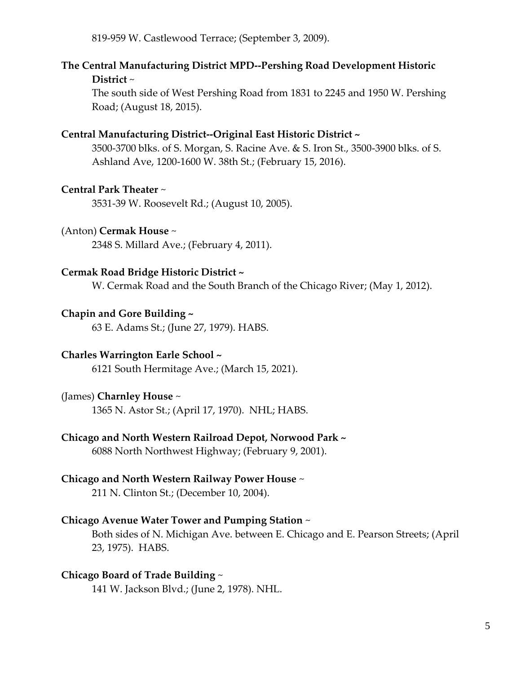819-959 W. Castlewood Terrace; (September 3, 2009).

# **The Central Manufacturing District MPD--Pershing Road Development Historic District** ~

The south side of West Pershing Road from 1831 to 2245 and 1950 W. Pershing Road; (August 18, 2015).

# **Central Manufacturing District--Original East Historic District ~**

3500-3700 blks. of S. Morgan, S. Racine Ave. & S. Iron St., 3500-3900 blks. of S. Ashland Ave, 1200-1600 W. 38th St.; (February 15, 2016).

# **Central Park Theater** ~

3531-39 W. Roosevelt Rd.; (August 10, 2005).

#### (Anton) **Cermak House** ~

2348 S. Millard Ave.; (February 4, 2011).

# **Cermak Road Bridge Historic District ~**

W. Cermak Road and the South Branch of the Chicago River; (May 1, 2012).

# **Chapin and Gore Building ~**

63 E. Adams St.; (June 27, 1979). HABS.

#### **Charles Warrington Earle School ~**

6121 South Hermitage Ave.; (March 15, 2021).

# (James) **Charnley House** ~

1365 N. Astor St.; (April 17, 1970). NHL; HABS.

# **Chicago and North Western Railroad Depot, Norwood Park ~**

6088 North Northwest Highway; (February 9, 2001).

#### **Chicago and North Western Railway Power House** ~

211 N. Clinton St.; (December 10, 2004).

#### **Chicago Avenue Water Tower and Pumping Station** ~

Both sides of N. Michigan Ave. between E. Chicago and E. Pearson Streets; (April 23, 1975). HABS.

# **Chicago Board of Trade Building** ~

141 W. Jackson Blvd.; (June 2, 1978). NHL.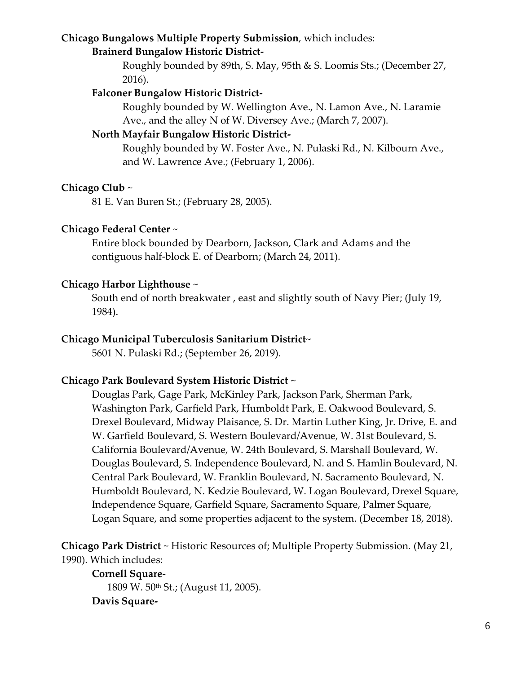# **Chicago Bungalows Multiple Property Submission**, which includes:

### **Brainerd Bungalow Historic District-**

Roughly bounded by 89th, S. May, 95th & S. Loomis Sts.; (December 27, 2016).

# **Falconer Bungalow Historic District-**

Roughly bounded by W. Wellington Ave., N. Lamon Ave., N. Laramie Ave., and the alley N of W. Diversey Ave.; (March 7, 2007).

# **North Mayfair Bungalow Historic District-**

Roughly bounded by W. Foster Ave., N. Pulaski Rd., N. Kilbourn Ave., and W. Lawrence Ave.; (February 1, 2006).

# **Chicago Club** ~

81 E. Van Buren St.; (February 28, 2005).

# **Chicago Federal Center** ~

Entire block bounded by Dearborn, Jackson, Clark and Adams and the contiguous half-block E. of Dearborn; (March 24, 2011).

# **Chicago Harbor Lighthouse** ~

South end of north breakwater , east and slightly south of Navy Pier; (July 19, 1984).

# **Chicago Municipal Tuberculosis Sanitarium District**~

5601 N. Pulaski Rd.; (September 26, 2019).

# **Chicago Park Boulevard System Historic District** ~

Douglas Park, Gage Park, McKinley Park, Jackson Park, Sherman Park, Washington Park, Garfield Park, Humboldt Park, E. Oakwood Boulevard, S. Drexel Boulevard, Midway Plaisance, S. Dr. Martin Luther King, Jr. Drive, E. and W. Garfield Boulevard, S. Western Boulevard/Avenue, W. 31st Boulevard, S. California Boulevard/Avenue, W. 24th Boulevard, S. Marshall Boulevard, W. Douglas Boulevard, S. Independence Boulevard, N. and S. Hamlin Boulevard, N. Central Park Boulevard, W. Franklin Boulevard, N. Sacramento Boulevard, N. Humboldt Boulevard, N. Kedzie Boulevard, W. Logan Boulevard, Drexel Square, Independence Square, Garfield Square, Sacramento Square, Palmer Square, Logan Square, and some properties adjacent to the system. (December 18, 2018).

**Chicago Park District** ~ Historic Resources of; Multiple Property Submission. (May 21, 1990). Which includes:

**Cornell Square-**1809 W. 50th St.; (August 11, 2005). **Davis Square-**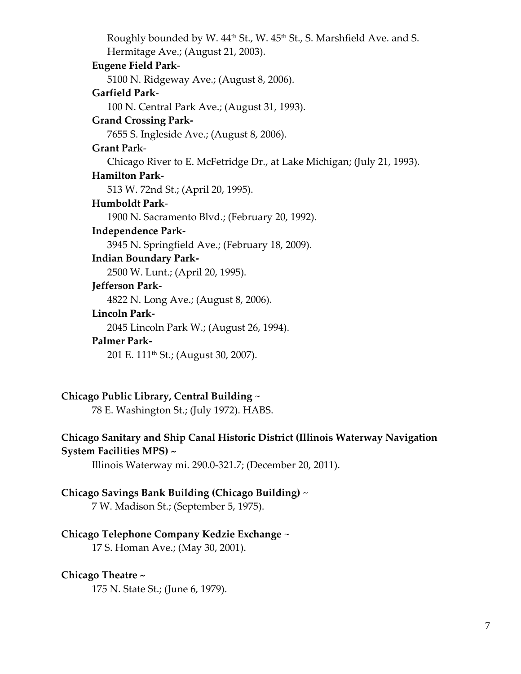Roughly bounded by W. 44<sup>th</sup> St., W. 45<sup>th</sup> St., S. Marshfield Ave. and S. Hermitage Ave.; (August 21, 2003).

#### **Eugene Field Park**-

5100 N. Ridgeway Ave.; (August 8, 2006).

#### **Garfield Park**-

100 N. Central Park Ave.; (August 31, 1993).

#### **Grand Crossing Park-**

7655 S. Ingleside Ave.; (August 8, 2006).

#### **Grant Park**-

Chicago River to E. McFetridge Dr., at Lake Michigan; (July 21, 1993).

#### **Hamilton Park-**

513 W. 72nd St.; (April 20, 1995).

#### **Humboldt Park**-

1900 N. Sacramento Blvd.; (February 20, 1992).

#### **Independence Park-**

3945 N. Springfield Ave.; (February 18, 2009).

#### **Indian Boundary Park-**

2500 W. Lunt.; (April 20, 1995).

#### **Jefferson Park-**

4822 N. Long Ave.; (August 8, 2006).

#### **Lincoln Park-**

2045 Lincoln Park W.; (August 26, 1994).

#### **Palmer Park-**

201 E. 111th St.; (August 30, 2007).

#### **Chicago Public Library, Central Building** ~

78 E. Washington St.; (July 1972). HABS.

# **Chicago Sanitary and Ship Canal Historic District (Illinois Waterway Navigation System Facilities MPS) ~**

Illinois Waterway mi. 290.0-321.7; (December 20, 2011).

#### **Chicago Savings Bank Building (Chicago Building)** ~

7 W. Madison St.; (September 5, 1975).

# **Chicago Telephone Company Kedzie Exchange** ~

17 S. Homan Ave.; (May 30, 2001).

#### **Chicago Theatre ~**

175 N. State St.; (June 6, 1979).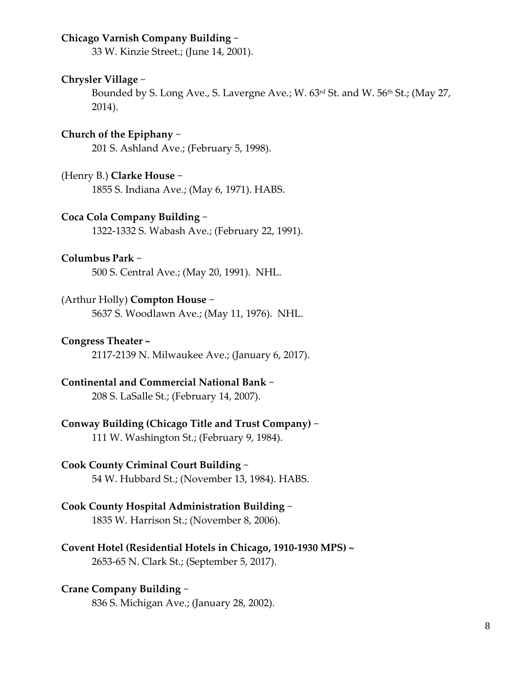#### **Chicago Varnish Company Building** ~

33 W. Kinzie Street.; (June 14, 2001).

#### **Chrysler Village** ~

Bounded by S. Long Ave., S. Lavergne Ave.; W.  $63<sup>rd</sup>$  St. and W.  $56<sup>th</sup>$  St.; (May 27, 2014).

#### **Church of the Epiphany** ~

201 S. Ashland Ave.; (February 5, 1998).

#### (Henry B.) **Clarke House** ~

1855 S. Indiana Ave.; (May 6, 1971). HABS.

#### **Coca Cola Company Building** ~

1322-1332 S. Wabash Ave.; (February 22, 1991).

#### **Columbus Park** ~

500 S. Central Ave.; (May 20, 1991). NHL.

#### (Arthur Holly) **Compton House** ~

5637 S. Woodlawn Ave.; (May 11, 1976). NHL.

#### **Congress Theater ~**

2117-2139 N. Milwaukee Ave.; (January 6, 2017).

#### **Continental and Commercial National Bank** ~

208 S. LaSalle St.; (February 14, 2007).

#### **Conway Building (Chicago Title and Trust Company)** ~

111 W. Washington St.; (February 9, 1984).

# **Cook County Criminal Court Building** ~

54 W. Hubbard St.; (November 13, 1984). HABS.

# **Cook County Hospital Administration Building** ~

1835 W. Harrison St.; (November 8, 2006).

# **Covent Hotel (Residential Hotels in Chicago, 1910-1930 MPS) ~** 2653-65 N. Clark St.; (September 5, 2017).

#### **Crane Company Building** ~

836 S. Michigan Ave.; (January 28, 2002).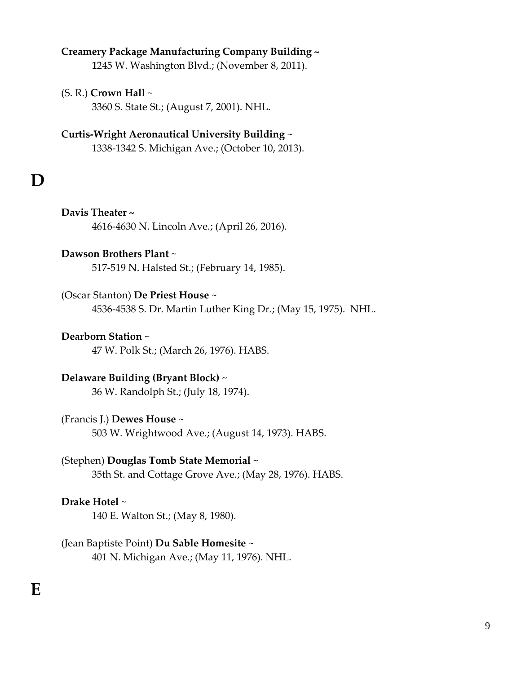# **Creamery Package Manufacturing Company Building ~**

**1**245 W. Washington Blvd.; (November 8, 2011).

#### (S. R.) **Crown Hall** ~

3360 S. State St.; (August 7, 2001). NHL.

**Curtis-Wright Aeronautical University Building** ~ 1338-1342 S. Michigan Ave.; (October 10, 2013).

# **D**

#### **Davis Theater ~**

4616-4630 N. Lincoln Ave.; (April 26, 2016).

#### **Dawson Brothers Plant** ~

517-519 N. Halsted St.; (February 14, 1985).

#### (Oscar Stanton) **De Priest House** ~

4536-4538 S. Dr. Martin Luther King Dr.; (May 15, 1975). NHL.

#### **Dearborn Station** ~

47 W. Polk St.; (March 26, 1976). HABS.

#### **Delaware Building (Bryant Block)** ~

36 W. Randolph St.; (July 18, 1974).

#### (Francis J.) **Dewes House** ~

503 W. Wrightwood Ave.; (August 14, 1973). HABS.

#### (Stephen) **Douglas Tomb State Memorial** ~

35th St. and Cottage Grove Ave.; (May 28, 1976). HABS.

#### **Drake Hotel** ~

140 E. Walton St.; (May 8, 1980).

#### (Jean Baptiste Point) **Du Sable Homesite** ~

401 N. Michigan Ave.; (May 11, 1976). NHL.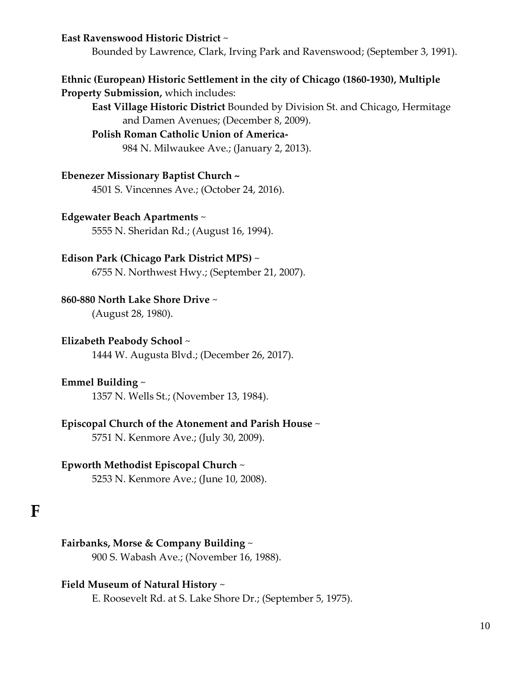#### **East Ravenswood Historic District** ~

Bounded by Lawrence, Clark, Irving Park and Ravenswood; (September 3, 1991).

# **Ethnic (European) Historic Settlement in the city of Chicago (1860-1930), Multiple Property Submission,** which includes:

**East Village Historic District** Bounded by Division St. and Chicago, Hermitage and Damen Avenues; (December 8, 2009).

#### **Polish Roman Catholic Union of America-**

984 N. Milwaukee Ave.; (January 2, 2013).

#### **Ebenezer Missionary Baptist Church ~**

4501 S. Vincennes Ave.; (October 24, 2016).

#### **Edgewater Beach Apartments** ~

5555 N. Sheridan Rd.; (August 16, 1994).

#### **Edison Park (Chicago Park District MPS)** ~

6755 N. Northwest Hwy.; (September 21, 2007).

#### **860-880 North Lake Shore Drive** ~

(August 28, 1980).

#### **Elizabeth Peabody School** ~

1444 W. Augusta Blvd.; (December 26, 2017).

#### **Emmel Building** ~

1357 N. Wells St.; (November 13, 1984).

#### **Episcopal Church of the Atonement and Parish House** ~

5751 N. Kenmore Ave.; (July 30, 2009).

#### **Epworth Methodist Episcopal Church** ~

5253 N. Kenmore Ave.; (June 10, 2008).

# **F**

# **Fairbanks, Morse & Company Building** ~

900 S. Wabash Ave.; (November 16, 1988).

#### **Field Museum of Natural History** ~

E. Roosevelt Rd. at S. Lake Shore Dr.; (September 5, 1975).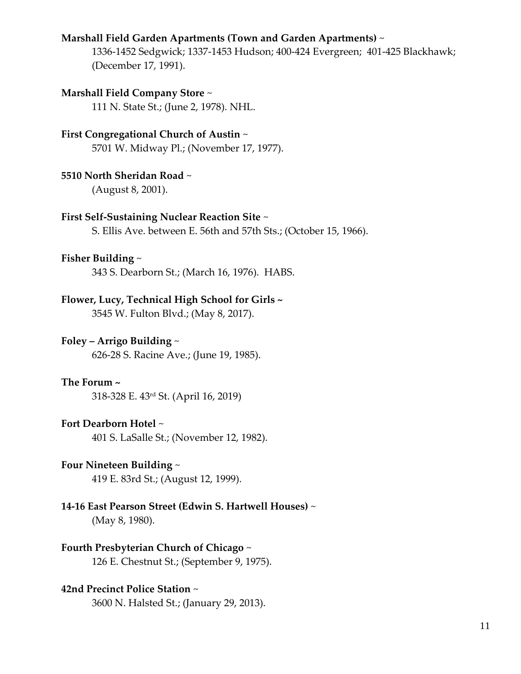# **Marshall Field Garden Apartments (Town and Garden Apartments)** ~

1336-1452 Sedgwick; 1337-1453 Hudson; 400-424 Evergreen; 401-425 Blackhawk; (December 17, 1991).

#### **Marshall Field Company Store** ~

111 N. State St.; (June 2, 1978). NHL.

# **First Congregational Church of Austin** ~

5701 W. Midway Pl.; (November 17, 1977).

# **5510 North Sheridan Road** ~

(August 8, 2001).

# **First Self-Sustaining Nuclear Reaction Site** ~

S. Ellis Ave. between E. 56th and 57th Sts.; (October 15, 1966).

#### **Fisher Building** ~

343 S. Dearborn St.; (March 16, 1976). HABS.

# **Flower, Lucy, Technical High School for Girls ~**

3545 W. Fulton Blvd.; (May 8, 2017).

# **Foley – Arrigo Building** ~

626-28 S. Racine Ave.; (June 19, 1985).

#### **The Forum ~**

318-328 E. 43rd St. (April 16, 2019)

# **Fort Dearborn Hotel** ~

401 S. LaSalle St.; (November 12, 1982).

# **Four Nineteen Building** ~

419 E. 83rd St.; (August 12, 1999).

# **14-16 East Pearson Street (Edwin S. Hartwell Houses)** ~

(May 8, 1980).

# **Fourth Presbyterian Church of Chicago** ~

126 E. Chestnut St.; (September 9, 1975).

#### **42nd Precinct Police Station** ~

3600 N. Halsted St.; (January 29, 2013).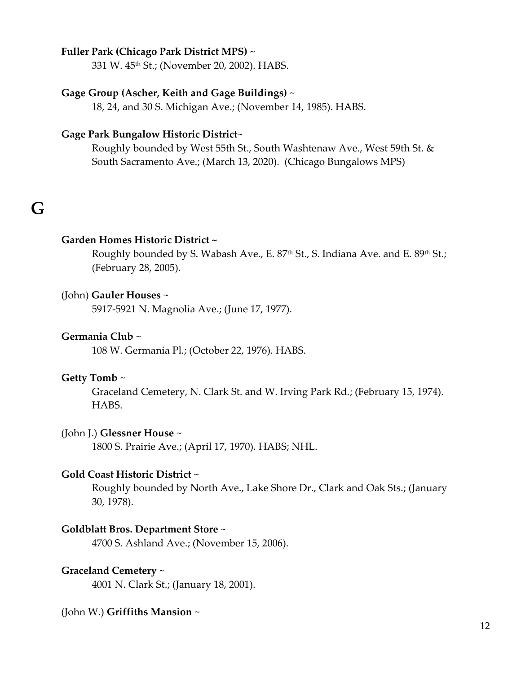#### **Fuller Park (Chicago Park District MPS)** ~

331 W. 45th St.; (November 20, 2002). HABS.

# **Gage Group (Ascher, Keith and Gage Buildings)** ~

18, 24, and 30 S. Michigan Ave.; (November 14, 1985). HABS.

# **Gage Park Bungalow Historic District**~

Roughly bounded by West 55th St., South Washtenaw Ave., West 59th St. & South Sacramento Ave.; (March 13, 2020). (Chicago Bungalows MPS)

# **G**

# **Garden Homes Historic District ~**

Roughly bounded by S. Wabash Ave., E. 87<sup>th</sup> St., S. Indiana Ave. and E. 89<sup>th</sup> St.; (February 28, 2005).

#### (John) **Gauler Houses** ~

5917-5921 N. Magnolia Ave.; (June 17, 1977).

#### **Germania Club** ~

108 W. Germania Pl.; (October 22, 1976). HABS.

#### **Getty Tomb** ~

Graceland Cemetery, N. Clark St. and W. Irving Park Rd.; (February 15, 1974). HABS.

# (John J.) **Glessner House** ~

1800 S. Prairie Ave.; (April 17, 1970). HABS; NHL.

#### **Gold Coast Historic District** ~

Roughly bounded by North Ave., Lake Shore Dr., Clark and Oak Sts.; (January 30, 1978).

#### **Goldblatt Bros. Department Store** ~

4700 S. Ashland Ave.; (November 15, 2006).

#### **Graceland Cemetery** ~

4001 N. Clark St.; (January 18, 2001).

# (John W.) **Griffiths Mansion** ~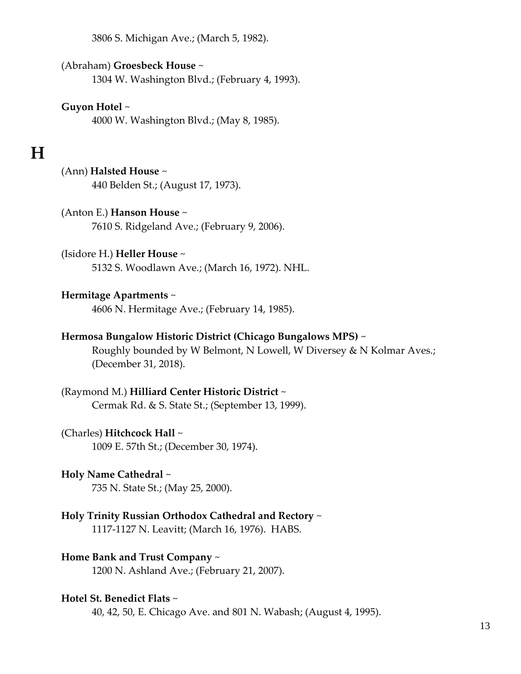3806 S. Michigan Ave.; (March 5, 1982).

#### (Abraham) **Groesbeck House** ~

1304 W. Washington Blvd.; (February 4, 1993).

#### **Guyon Hotel** ~

4000 W. Washington Blvd.; (May 8, 1985).

# **H**

#### (Ann) **Halsted House** ~

440 Belden St.; (August 17, 1973).

#### (Anton E.) **Hanson House** ~

7610 S. Ridgeland Ave.; (February 9, 2006).

#### (Isidore H.) **Heller House** ~

5132 S. Woodlawn Ave.; (March 16, 1972). NHL.

#### **Hermitage Apartments** ~

4606 N. Hermitage Ave.; (February 14, 1985).

#### **Hermosa Bungalow Historic District (Chicago Bungalows MPS)** ~

Roughly bounded by W Belmont, N Lowell, W Diversey & N Kolmar Aves.; (December 31, 2018).

# (Raymond M.) **Hilliard Center Historic District** ~

Cermak Rd. & S. State St.; (September 13, 1999).

#### (Charles) **Hitchcock Hall** ~

1009 E. 57th St.; (December 30, 1974).

#### **Holy Name Cathedral** ~

735 N. State St.; (May 25, 2000).

#### **Holy Trinity Russian Orthodox Cathedral and Rectory** ~

1117-1127 N. Leavitt; (March 16, 1976). HABS.

#### **Home Bank and Trust Company** ~

1200 N. Ashland Ave.; (February 21, 2007).

#### **Hotel St. Benedict Flats** ~

40, 42, 50, E. Chicago Ave. and 801 N. Wabash; (August 4, 1995).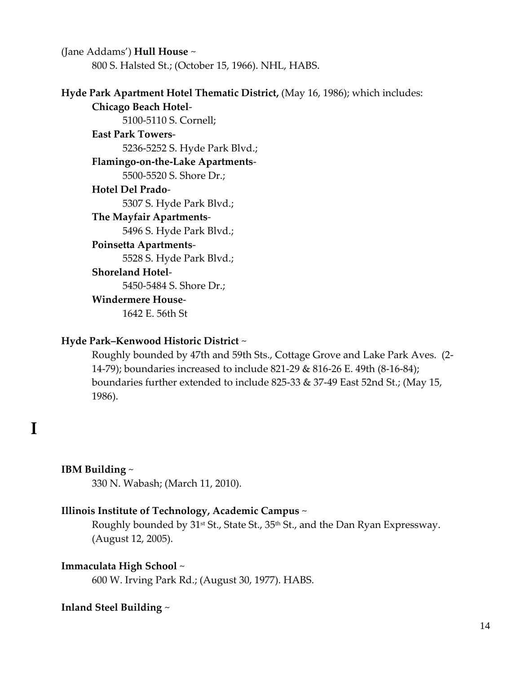(Jane Addams') **Hull House** ~ 800 S. Halsted St.; (October 15, 1966). NHL, HABS.

# **Hyde Park Apartment Hotel Thematic District,** (May 16, 1986); which includes: **Chicago Beach Hotel**-

5100-5110 S. Cornell;

**East Park Towers**-5236-5252 S. Hyde Park Blvd.; **Flamingo-on-the-Lake Apartments**-5500-5520 S. Shore Dr.; **Hotel Del Prado**-5307 S. Hyde Park Blvd.; **The Mayfair Apartments**-

5496 S. Hyde Park Blvd.;

# **Poinsetta Apartments**-

5528 S. Hyde Park Blvd.;

**Shoreland Hotel**-

5450-5484 S. Shore Dr.;

**Windermere House**-

1642 E. 56th St

# **Hyde Park–Kenwood Historic District** ~

Roughly bounded by 47th and 59th Sts., Cottage Grove and Lake Park Aves. (2- 14-79); boundaries increased to include 821-29 & 816-26 E. 49th (8-16-84); boundaries further extended to include 825-33 & 37-49 East 52nd St.; (May 15, 1986).

**IBM Building** ~

**I**

330 N. Wabash; (March 11, 2010).

# **Illinois Institute of Technology, Academic Campus** ~

Roughly bounded by 31<sup>st</sup> St., State St., 35<sup>th</sup> St., and the Dan Ryan Expressway. (August 12, 2005).

# **Immaculata High School** ~

600 W. Irving Park Rd.; (August 30, 1977). HABS.

# **Inland Steel Building** ~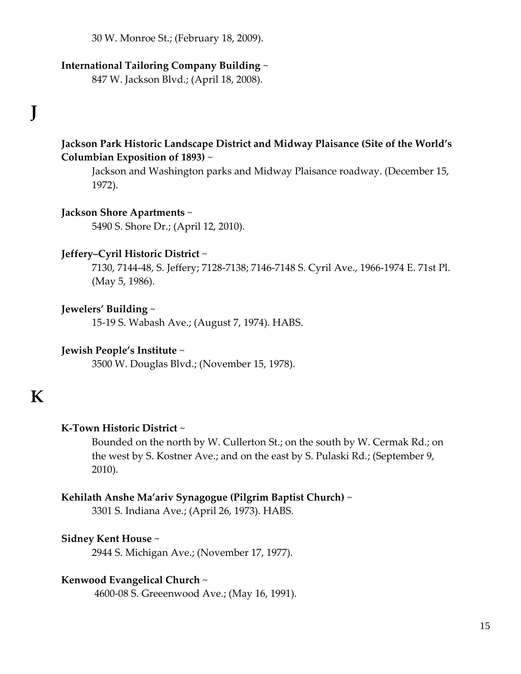30 W. Monroe St.; (February 18, 2009).

# **International Tailoring Company Building** ~

847 W. Jackson Blvd.; (April 18, 2008).

# **Jackson Park Historic Landscape District and Midway Plaisance (Site of the World's Columbian Exposition of 1893)** ~

Jackson and Washington parks and Midway Plaisance roadway. (December 15, 1972).

# **Jackson Shore Apartments** ~

5490 S. Shore Dr.; (April 12, 2010).

# **Jeffery–Cyril Historic District** ~

7130, 7144-48, S. Jeffery; 7128-7138; 7146-7148 S. Cyril Ave., 1966-1974 E. 71st Pl. (May 5, 1986).

# **Jewelers' Building** ~

15-19 S. Wabash Ave.; (August 7, 1974). HABS.

# **Jewish People's Institute** ~

3500 W. Douglas Blvd.; (November 15, 1978).

# **K**

**J**

# **K-Town Historic District** ~

Bounded on the north by W. Cullerton St.; on the south by W. Cermak Rd.; on the west by S. Kostner Ave.; and on the east by S. Pulaski Rd.; (September 9, 2010).

# **Kehilath Anshe Ma'ariv Synagogue (Pilgrim Baptist Church)** ~

3301 S. Indiana Ave.; (April 26, 1973). HABS.

# **Sidney Kent House** ~

2944 S. Michigan Ave.; (November 17, 1977).

# **Kenwood Evangelical Church** ~

4600-08 S. Greeenwood Ave.; (May 16, 1991).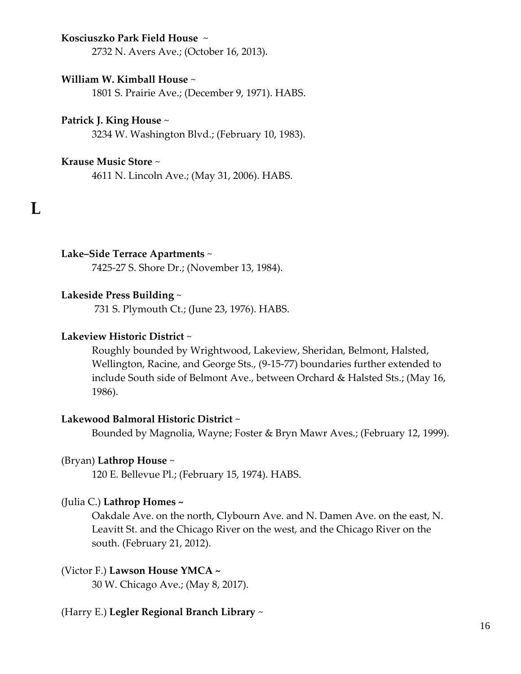#### **Kosciuszko Park Field House** ~

2732 N. Avers Ave.; (October 16, 2013).

#### **William W. Kimball House** ~

1801 S. Prairie Ave.; (December 9, 1971). HABS.

#### **Patrick J. King House** ~

3234 W. Washington Blvd.; (February 10, 1983).

#### **Krause Music Store** ~

 $\mathbf{L}$ 

4611 N. Lincoln Ave.; (May 31, 2006). HABS.

#### **Lake–Side Terrace Apartments** ~

7425-27 S. Shore Dr.; (November 13, 1984).

#### **Lakeside Press Building** ~

731 S. Plymouth Ct.; (June 23, 1976). HABS.

#### **Lakeview Historic District** ~

Roughly bounded by Wrightwood, Lakeview, Sheridan, Belmont, Halsted, Wellington, Racine, and George Sts., (9-15-77) boundaries further extended to include South side of Belmont Ave., between Orchard & Halsted Sts.; (May 16, 1986).

#### **Lakewood Balmoral Historic District** ~

Bounded by Magnolia, Wayne; Foster & Bryn Mawr Aves.; (February 12, 1999).

#### (Bryan) **Lathrop House** ~

120 E. Bellevue Pl.; (February 15, 1974). HABS.

#### (Julia C.) **Lathrop Homes ~**

Oakdale Ave. on the north, Clybourn Ave. and N. Damen Ave. on the east, N. Leavitt St. and the Chicago River on the west, and the Chicago River on the south. (February 21, 2012).

#### (Victor F.) **Lawson House YMCA ~**

30 W. Chicago Ave.; (May 8, 2017).

#### (Harry E.) **Legler Regional Branch Library** ~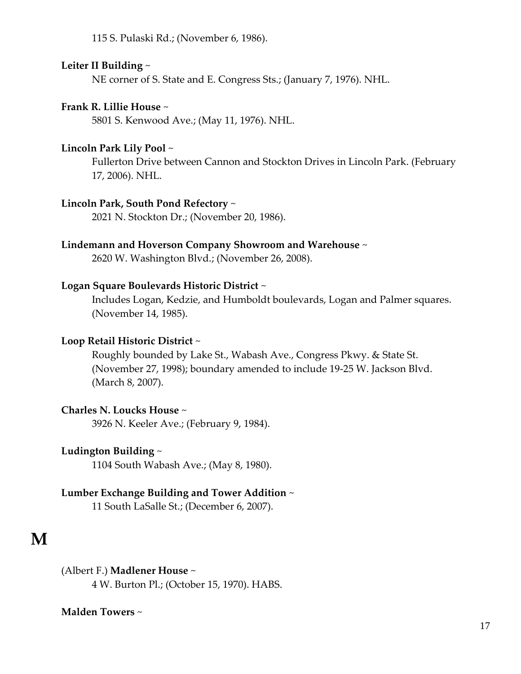115 S. Pulaski Rd.; (November 6, 1986).

# **Leiter II Building** ~

NE corner of S. State and E. Congress Sts.; (January 7, 1976). NHL.

# **Frank R. Lillie House** ~

5801 S. Kenwood Ave.; (May 11, 1976). NHL.

# **Lincoln Park Lily Pool** ~

Fullerton Drive between Cannon and Stockton Drives in Lincoln Park. (February 17, 2006). NHL.

# **Lincoln Park, South Pond Refectory** ~

2021 N. Stockton Dr.; (November 20, 1986).

# **Lindemann and Hoverson Company Showroom and Warehouse** ~

2620 W. Washington Blvd.; (November 26, 2008).

# **Logan Square Boulevards Historic District** ~

Includes Logan, Kedzie, and Humboldt boulevards, Logan and Palmer squares. (November 14, 1985).

# **Loop Retail Historic District** ~

Roughly bounded by Lake St., Wabash Ave., Congress Pkwy. & State St. (November 27, 1998); boundary amended to include 19-25 W. Jackson Blvd. (March 8, 2007).

# **Charles N. Loucks House** ~

3926 N. Keeler Ave.; (February 9, 1984).

# **Ludington Building** ~

1104 South Wabash Ave.; (May 8, 1980).

# **Lumber Exchange Building and Tower Addition** ~

11 South LaSalle St.; (December 6, 2007).

# **M**

# (Albert F.) **Madlener House** ~

4 W. Burton Pl.; (October 15, 1970). HABS.

# **Malden Towers** ~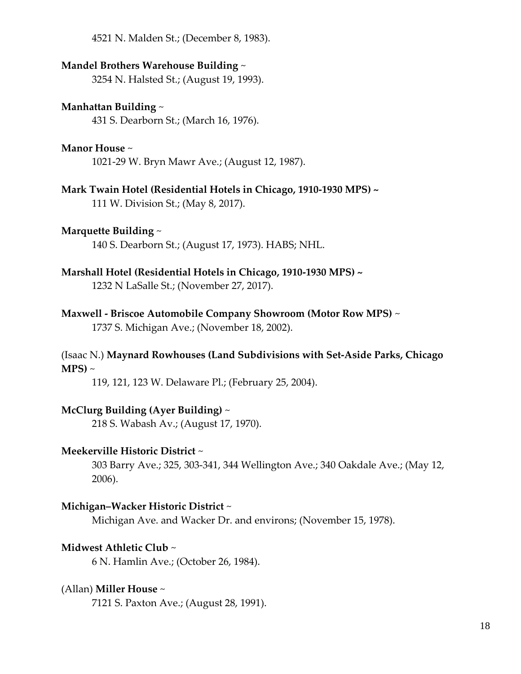4521 N. Malden St.; (December 8, 1983).

#### **Mandel Brothers Warehouse Building** ~

3254 N. Halsted St.; (August 19, 1993).

#### **Manhattan Building** ~

431 S. Dearborn St.; (March 16, 1976).

#### **Manor House** ~

1021-29 W. Bryn Mawr Ave.; (August 12, 1987).

**Mark Twain Hotel (Residential Hotels in Chicago, 1910-1930 MPS) ~** 111 W. Division St.; (May 8, 2017).

### **Marquette Building** ~

140 S. Dearborn St.; (August 17, 1973). HABS; NHL.

#### **Marshall Hotel (Residential Hotels in Chicago, 1910-1930 MPS) ~**

1232 N LaSalle St.; (November 27, 2017).

**Maxwell - Briscoe Automobile Company Showroom (Motor Row MPS)** ~ 1737 S. Michigan Ave.; (November 18, 2002).

# (Isaac N.) **Maynard Rowhouses (Land Subdivisions with Set-Aside Parks, Chicago MPS)** ~

119, 121, 123 W. Delaware Pl.; (February 25, 2004).

#### **McClurg Building (Ayer Building)** ~

218 S. Wabash Av.; (August 17, 1970).

### **Meekerville Historic District** ~

303 Barry Ave.; 325, 303-341, 344 Wellington Ave.; 340 Oakdale Ave.; (May 12, 2006).

#### **Michigan–Wacker Historic District** ~

Michigan Ave. and Wacker Dr. and environs; (November 15, 1978).

# **Midwest Athletic Club** ~

6 N. Hamlin Ave.; (October 26, 1984).

#### (Allan) **Miller House** ~

7121 S. Paxton Ave.; (August 28, 1991).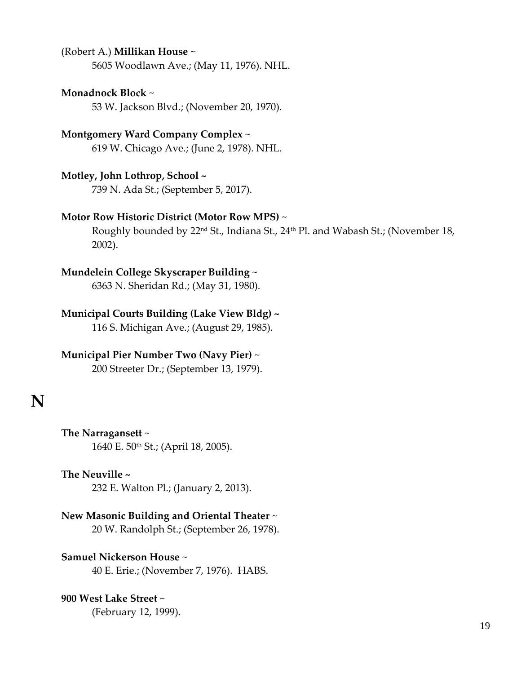#### (Robert A.) **Millikan House** ~

5605 Woodlawn Ave.; (May 11, 1976). NHL.

#### **Monadnock Block** ~

53 W. Jackson Blvd.; (November 20, 1970).

# **Montgomery Ward Company Complex** ~ 619 W. Chicago Ave.; (June 2, 1978). NHL.

#### **Motley, John Lothrop, School ~**

739 N. Ada St.; (September 5, 2017).

#### **Motor Row Historic District (Motor Row MPS)** ~

Roughly bounded by 22<sup>nd</sup> St., Indiana St., 24<sup>th</sup> Pl. and Wabash St.; (November 18, 2002).

#### **Mundelein College Skyscraper Building** ~

6363 N. Sheridan Rd.; (May 31, 1980).

#### **Municipal Courts Building (Lake View Bldg) ~**

116 S. Michigan Ave.; (August 29, 1985).

#### **Municipal Pier Number Two (Navy Pier)** ~

200 Streeter Dr.; (September 13, 1979).

# **N**

### **The Narragansett** ~ 1640 E. 50<sup>th</sup> St.; (April 18, 2005).

#### **The Neuville ~**

232 E. Walton Pl.; (January 2, 2013).

#### **New Masonic Building and Oriental Theater** ~

20 W. Randolph St.; (September 26, 1978).

### **Samuel Nickerson House** ~

40 E. Erie.; (November 7, 1976). HABS.

#### **900 West Lake Street** ~

(February 12, 1999).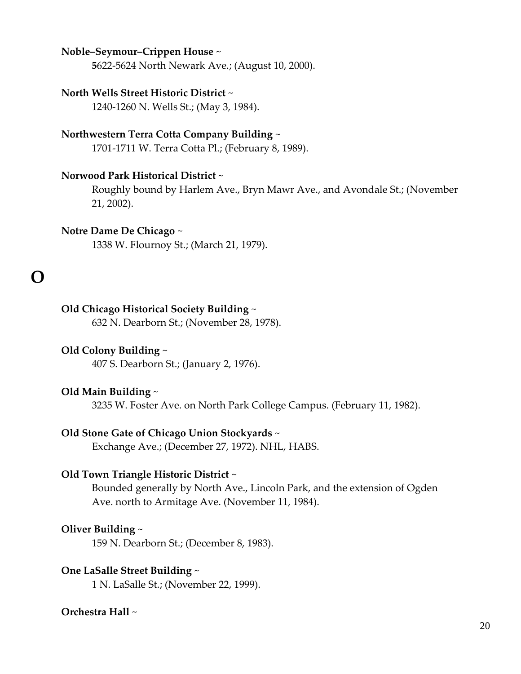#### **Noble–Seymour–Crippen House** ~

**5**622-5624 North Newark Ave.; (August 10, 2000).

#### **North Wells Street Historic District** ~

1240-1260 N. Wells St.; (May 3, 1984).

### **Northwestern Terra Cotta Company Building** ~ 1701-1711 W. Terra Cotta Pl.; (February 8, 1989).

#### **Norwood Park Historical District** ~

Roughly bound by Harlem Ave., Bryn Mawr Ave., and Avondale St.; (November 21, 2002).

#### **Notre Dame De Chicago** ~

1338 W. Flournoy St.; (March 21, 1979).

# **O**

# **Old Chicago Historical Society Building** ~

632 N. Dearborn St.; (November 28, 1978).

#### **Old Colony Building** ~

407 S. Dearborn St.; (January 2, 1976).

#### **Old Main Building** ~

3235 W. Foster Ave. on North Park College Campus. (February 11, 1982).

#### **Old Stone Gate of Chicago Union Stockyards** ~

Exchange Ave.; (December 27, 1972). NHL, HABS.

#### **Old Town Triangle Historic District** ~

Bounded generally by North Ave., Lincoln Park, and the extension of Ogden Ave. north to Armitage Ave. (November 11, 1984).

#### **Oliver Building** ~

159 N. Dearborn St.; (December 8, 1983).

#### **One LaSalle Street Building** ~

1 N. LaSalle St.; (November 22, 1999).

#### **Orchestra Hall** ~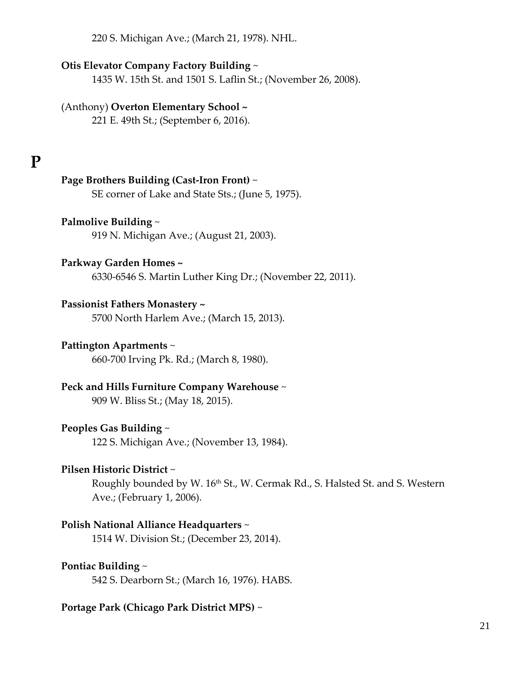220 S. Michigan Ave.; (March 21, 1978). NHL.

# **Otis Elevator Company Factory Building** ~

1435 W. 15th St. and 1501 S. Laflin St.; (November 26, 2008).

# (Anthony) **Overton Elementary School ~**

221 E. 49th St.; (September 6, 2016).

# **P**

# **Page Brothers Building (Cast-Iron Front)** ~

SE corner of Lake and State Sts.; (June 5, 1975).

# **Palmolive Building** ~

919 N. Michigan Ave.; (August 21, 2003).

# **Parkway Garden Homes ~**

6330-6546 S. Martin Luther King Dr.; (November 22, 2011).

# **Passionist Fathers Monastery ~**

5700 North Harlem Ave.; (March 15, 2013).

# **Pattington Apartments** ~

660-700 Irving Pk. Rd.; (March 8, 1980).

# **Peck and Hills Furniture Company Warehouse** ~

909 W. Bliss St.; (May 18, 2015).

# **Peoples Gas Building** ~

122 S. Michigan Ave.; (November 13, 1984).

# **Pilsen Historic District** ~

Roughly bounded by W. 16<sup>th</sup> St., W. Cermak Rd., S. Halsted St. and S. Western Ave.; (February 1, 2006).

# **Polish National Alliance Headquarters** ~

1514 W. Division St.; (December 23, 2014).

# **Pontiac Building** ~

542 S. Dearborn St.; (March 16, 1976). HABS.

# **Portage Park (Chicago Park District MPS)** ~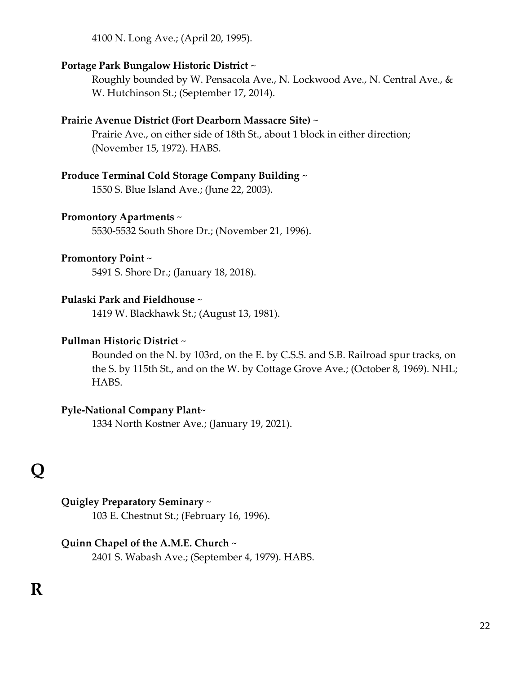4100 N. Long Ave.; (April 20, 1995).

#### **Portage Park Bungalow Historic District** ~

Roughly bounded by W. Pensacola Ave., N. Lockwood Ave., N. Central Ave., & W. Hutchinson St.; (September 17, 2014).

#### **Prairie Avenue District (Fort Dearborn Massacre Site)** ~

Prairie Ave., on either side of 18th St., about 1 block in either direction; (November 15, 1972). HABS.

#### **Produce Terminal Cold Storage Company Building** ~

1550 S. Blue Island Ave.; (June 22, 2003).

#### **Promontory Apartments** ~

5530-5532 South Shore Dr.; (November 21, 1996).

#### **Promontory Point** ~

5491 S. Shore Dr.; (January 18, 2018).

#### **Pulaski Park and Fieldhouse** ~

1419 W. Blackhawk St.; (August 13, 1981).

#### **Pullman Historic District** ~

Bounded on the N. by 103rd, on the E. by C.S.S. and S.B. Railroad spur tracks, on the S. by 115th St., and on the W. by Cottage Grove Ave.; (October 8, 1969). NHL; HABS.

#### **Pyle-National Company Plant**~

1334 North Kostner Ave.; (January 19, 2021).

# **Q**

#### **Quigley Preparatory Seminary** ~

103 E. Chestnut St.; (February 16, 1996).

#### **Quinn Chapel of the A.M.E. Church** ~

2401 S. Wabash Ave.; (September 4, 1979). HABS.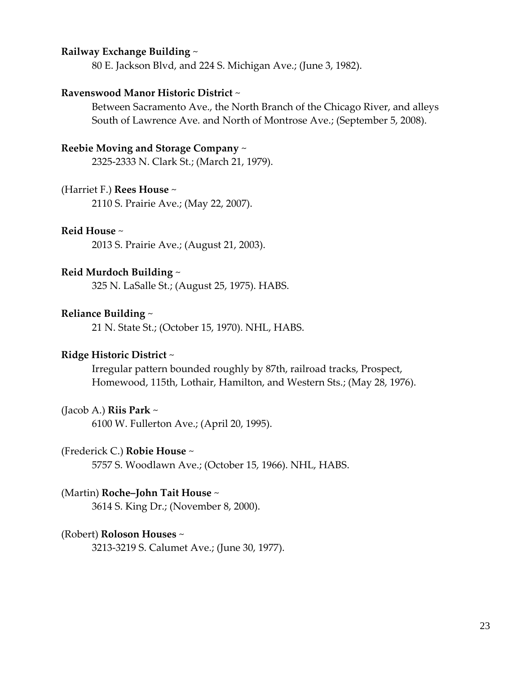### **Railway Exchange Building** ~

80 E. Jackson Blvd, and 224 S. Michigan Ave.; (June 3, 1982).

# **Ravenswood Manor Historic District** ~

Between Sacramento Ave., the North Branch of the Chicago River, and alleys South of Lawrence Ave. and North of Montrose Ave.; (September 5, 2008).

# **Reebie Moving and Storage Company** ~

2325-2333 N. Clark St.; (March 21, 1979).

#### (Harriet F.) **Rees House** ~

2110 S. Prairie Ave.; (May 22, 2007).

# **Reid House** ~

2013 S. Prairie Ave.; (August 21, 2003).

# **Reid Murdoch Building** ~

325 N. LaSalle St.; (August 25, 1975). HABS.

# **Reliance Building** ~

21 N. State St.; (October 15, 1970). NHL, HABS.

#### **Ridge Historic District** ~

Irregular pattern bounded roughly by 87th, railroad tracks, Prospect, Homewood, 115th, Lothair, Hamilton, and Western Sts.; (May 28, 1976).

#### (Jacob A.) **Riis Park** ~

6100 W. Fullerton Ave.; (April 20, 1995).

#### (Frederick C.) **Robie House** ~

5757 S. Woodlawn Ave.; (October 15, 1966). NHL, HABS.

#### (Martin) **Roche–John Tait House** ~

3614 S. King Dr.; (November 8, 2000).

#### (Robert) **Roloson Houses** ~

3213-3219 S. Calumet Ave.; (June 30, 1977).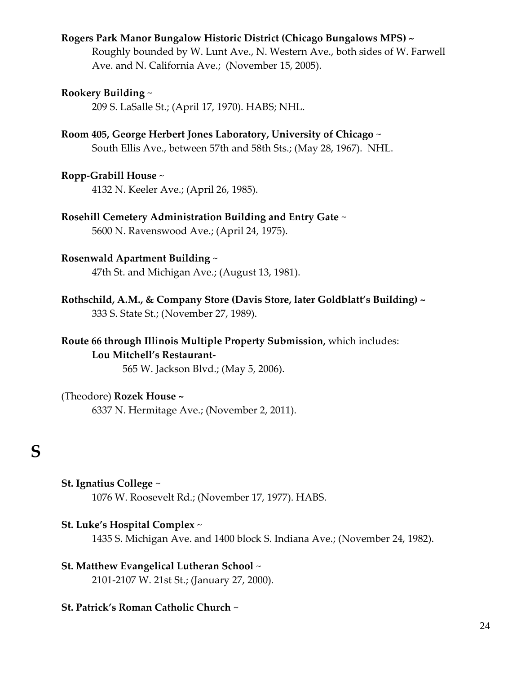# **Rogers Park Manor Bungalow Historic District (Chicago Bungalows MPS) ~**

Roughly bounded by W. Lunt Ave., N. Western Ave., both sides of W. Farwell Ave. and N. California Ave.; (November 15, 2005).

# **Rookery Building** ~

209 S. LaSalle St.; (April 17, 1970). HABS; NHL.

**Room 405, George Herbert Jones Laboratory, University of Chicago** ~ South Ellis Ave., between 57th and 58th Sts.; (May 28, 1967). NHL.

# **Ropp-Grabill House** ~

4132 N. Keeler Ave.; (April 26, 1985).

**Rosehill Cemetery Administration Building and Entry Gate** ~ 5600 N. Ravenswood Ave.; (April 24, 1975).

# **Rosenwald Apartment Building** ~

47th St. and Michigan Ave.; (August 13, 1981).

- **Rothschild, A.M., & Company Store (Davis Store, later Goldblatt's Building) ~**  333 S. State St.; (November 27, 1989).
- **Route 66 through Illinois Multiple Property Submission,** which includes: **Lou Mitchell's Restaurant-**

565 W. Jackson Blvd.; (May 5, 2006).

# (Theodore) **Rozek House ~**

6337 N. Hermitage Ave.; (November 2, 2011).

# **S**

# **St. Ignatius College** ~

1076 W. Roosevelt Rd.; (November 17, 1977). HABS.

# **St. Luke's Hospital Complex** ~

1435 S. Michigan Ave. and 1400 block S. Indiana Ave.; (November 24, 1982).

# **St. Matthew Evangelical Lutheran School** ~

2101-2107 W. 21st St.; (January 27, 2000).

# **St. Patrick's Roman Catholic Church** ~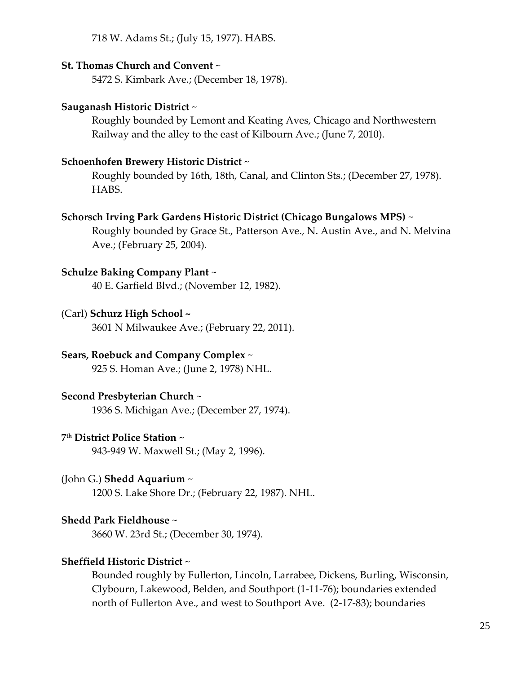718 W. Adams St.; (July 15, 1977). HABS.

#### **St. Thomas Church and Convent** ~

5472 S. Kimbark Ave.; (December 18, 1978).

#### **Sauganash Historic District** ~

Roughly bounded by Lemont and Keating Aves, Chicago and Northwestern Railway and the alley to the east of Kilbourn Ave.; (June 7, 2010).

#### **Schoenhofen Brewery Historic District** ~

Roughly bounded by 16th, 18th, Canal, and Clinton Sts.; (December 27, 1978). HABS.

### **Schorsch Irving Park Gardens Historic District (Chicago Bungalows MPS)** ~

Roughly bounded by Grace St., Patterson Ave., N. Austin Ave., and N. Melvina Ave.; (February 25, 2004).

# **Schulze Baking Company Plant** ~

40 E. Garfield Blvd.; (November 12, 1982).

### (Carl) **Schurz High School ~**

3601 N Milwaukee Ave.; (February 22, 2011).

#### **Sears, Roebuck and Company Complex** ~

925 S. Homan Ave.; (June 2, 1978) NHL.

#### **Second Presbyterian Church** ~

1936 S. Michigan Ave.; (December 27, 1974).

#### **7 th District Police Station** ~

943-949 W. Maxwell St.; (May 2, 1996).

#### (John G.) **Shedd Aquarium** ~

1200 S. Lake Shore Dr.; (February 22, 1987). NHL.

#### **Shedd Park Fieldhouse** ~

3660 W. 23rd St.; (December 30, 1974).

#### **Sheffield Historic District** ~

Bounded roughly by Fullerton, Lincoln, Larrabee, Dickens, Burling, Wisconsin, Clybourn, Lakewood, Belden, and Southport (1-11-76); boundaries extended north of Fullerton Ave., and west to Southport Ave. (2-17-83); boundaries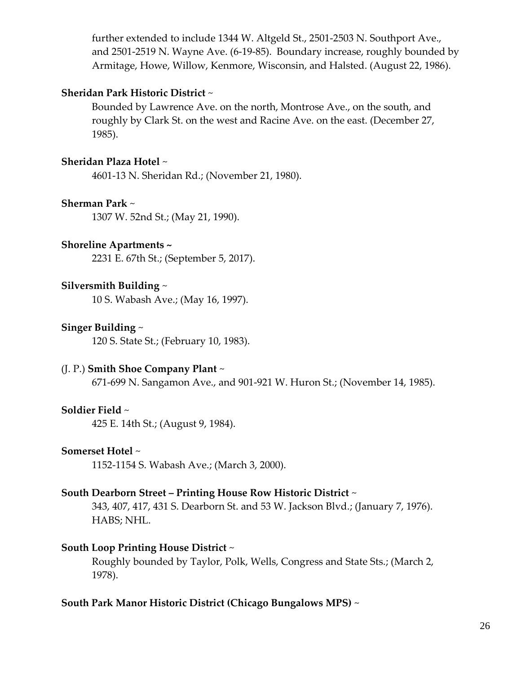further extended to include 1344 W. Altgeld St., 2501-2503 N. Southport Ave., and 2501-2519 N. Wayne Ave. (6-19-85). Boundary increase, roughly bounded by Armitage, Howe, Willow, Kenmore, Wisconsin, and Halsted. (August 22, 1986).

### **Sheridan Park Historic District** ~

Bounded by Lawrence Ave. on the north, Montrose Ave., on the south, and roughly by Clark St. on the west and Racine Ave. on the east. (December 27, 1985).

### **Sheridan Plaza Hotel** ~

4601-13 N. Sheridan Rd.; (November 21, 1980).

#### **Sherman Park** ~

1307 W. 52nd St.; (May 21, 1990).

#### **Shoreline Apartments ~**

2231 E. 67th St.; (September 5, 2017).

# **Silversmith Building** ~

10 S. Wabash Ave.; (May 16, 1997).

# **Singer Building** ~

120 S. State St.; (February 10, 1983).

#### (J. P.) **Smith Shoe Company Plant** ~

671-699 N. Sangamon Ave., and 901-921 W. Huron St.; (November 14, 1985).

#### **Soldier Field** ~

425 E. 14th St.; (August 9, 1984).

#### **Somerset Hotel** ~

1152-1154 S. Wabash Ave.; (March 3, 2000).

#### **South Dearborn Street – Printing House Row Historic District** ~

343, 407, 417, 431 S. Dearborn St. and 53 W. Jackson Blvd.; (January 7, 1976). HABS; NHL.

#### **South Loop Printing House District** ~

Roughly bounded by Taylor, Polk, Wells, Congress and State Sts.; (March 2, 1978).

#### **South Park Manor Historic District (Chicago Bungalows MPS)** ~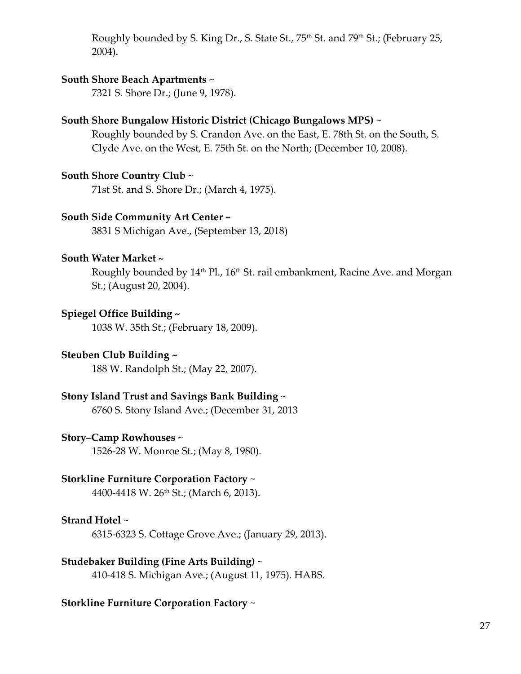Roughly bounded by S. King Dr., S. State St., 75<sup>th</sup> St. and 79<sup>th</sup> St.; (February 25, 2004).

# **South Shore Beach Apartments** ~

7321 S. Shore Dr.; (June 9, 1978).

# **South Shore Bungalow Historic District (Chicago Bungalows MPS)** ~

Roughly bounded by S. Crandon Ave. on the East, E. 78th St. on the South, S. Clyde Ave. on the West, E. 75th St. on the North; (December 10, 2008).

# **South Shore Country Club** ~

71st St. and S. Shore Dr.; (March 4, 1975).

# **South Side Community Art Center ~**

3831 S Michigan Ave., (September 13, 2018)

# **South Water Market ~**

Roughly bounded by 14<sup>th</sup> Pl., 16<sup>th</sup> St. rail embankment, Racine Ave. and Morgan St.; (August 20, 2004).

# **Spiegel Office Building ~**

1038 W. 35th St.; (February 18, 2009).

# **Steuben Club Building ~**

188 W. Randolph St.; (May 22, 2007).

# **Stony Island Trust and Savings Bank Building** ~

6760 S. Stony Island Ave.; (December 31, 2013

# **Story–Camp Rowhouses** ~

1526-28 W. Monroe St.; (May 8, 1980).

# **Storkline Furniture Corporation Factory** ~

4400-4418 W. 26<sup>th</sup> St.; (March 6, 2013).

# **Strand Hotel** ~

6315-6323 S. Cottage Grove Ave.; (January 29, 2013).

# **Studebaker Building (Fine Arts Building)** ~

410-418 S. Michigan Ave.; (August 11, 1975). HABS.

# **Storkline Furniture Corporation Factory** ~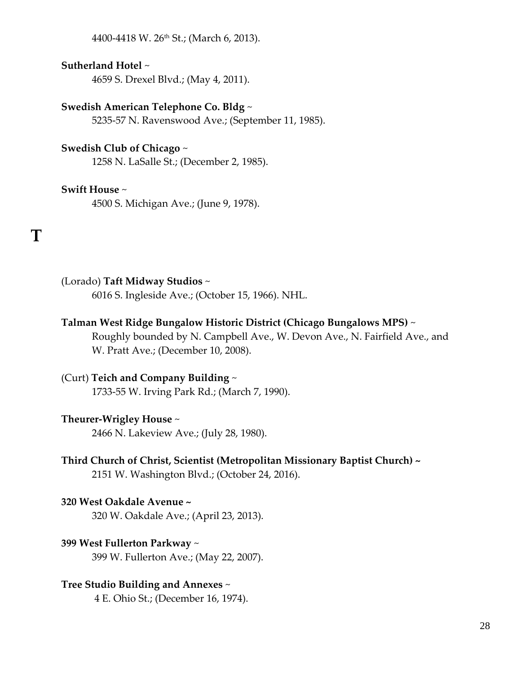4400-4418 W. 26<sup>th</sup> St.; (March 6, 2013).

#### **Sutherland Hotel** ~

4659 S. Drexel Blvd.; (May 4, 2011).

#### **Swedish American Telephone Co. Bldg** ~

5235-57 N. Ravenswood Ave.; (September 11, 1985).

#### **Swedish Club of Chicago** ~

1258 N. LaSalle St.; (December 2, 1985).

#### **Swift House** ~

**T**

4500 S. Michigan Ave.; (June 9, 1978).

(Lorado) **Taft Midway Studios** ~

6016 S. Ingleside Ave.; (October 15, 1966). NHL.

#### **Talman West Ridge Bungalow Historic District (Chicago Bungalows MPS)** ~

Roughly bounded by N. Campbell Ave., W. Devon Ave., N. Fairfield Ave., and W. Pratt Ave.; (December 10, 2008).

#### (Curt) **Teich and Company Building** ~

1733-55 W. Irving Park Rd.; (March 7, 1990).

# **Theurer-Wrigley House** ~

2466 N. Lakeview Ave.; (July 28, 1980).

# **Third Church of Christ, Scientist (Metropolitan Missionary Baptist Church) ~**

2151 W. Washington Blvd.; (October 24, 2016).

#### **320 West Oakdale Avenue ~**

320 W. Oakdale Ave.; (April 23, 2013).

#### **399 West Fullerton Parkway** ~

399 W. Fullerton Ave.; (May 22, 2007).

#### **Tree Studio Building and Annexes** ~

4 E. Ohio St.; (December 16, 1974).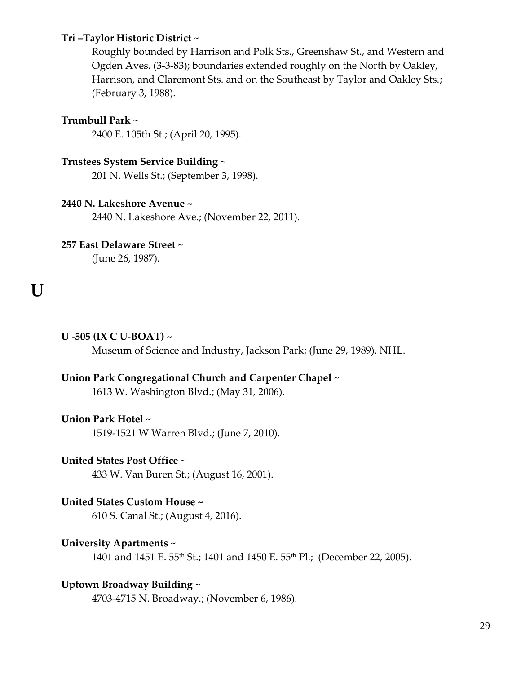# **Tri –Taylor Historic District** ~

Roughly bounded by Harrison and Polk Sts., Greenshaw St., and Western and Ogden Aves. (3-3-83); boundaries extended roughly on the North by Oakley, Harrison, and Claremont Sts. and on the Southeast by Taylor and Oakley Sts.; (February 3, 1988).

### **Trumbull Park** ~

2400 E. 105th St.; (April 20, 1995).

# **Trustees System Service Building** ~

201 N. Wells St.; (September 3, 1998).

#### **2440 N. Lakeshore Avenue ~**

2440 N. Lakeshore Ave.; (November 22, 2011).

#### **257 East Delaware Street** ~

(June 26, 1987).

# **U**

# **U -505 (IX C U-BOAT) ~**

Museum of Science and Industry, Jackson Park; (June 29, 1989). NHL.

# **Union Park Congregational Church and Carpenter Chapel** ~

1613 W. Washington Blvd.; (May 31, 2006).

# **Union Park Hotel** ~

1519-1521 W Warren Blvd.; (June 7, 2010).

# **United States Post Office** ~

433 W. Van Buren St.; (August 16, 2001).

# **United States Custom House ~**

610 S. Canal St.; (August 4, 2016).

# **University Apartments** ~

1401 and 1451 E. 55<sup>th</sup> St.; 1401 and 1450 E. 55<sup>th</sup> Pl.; (December 22, 2005).

# **Uptown Broadway Building** ~

4703-4715 N. Broadway.; (November 6, 1986).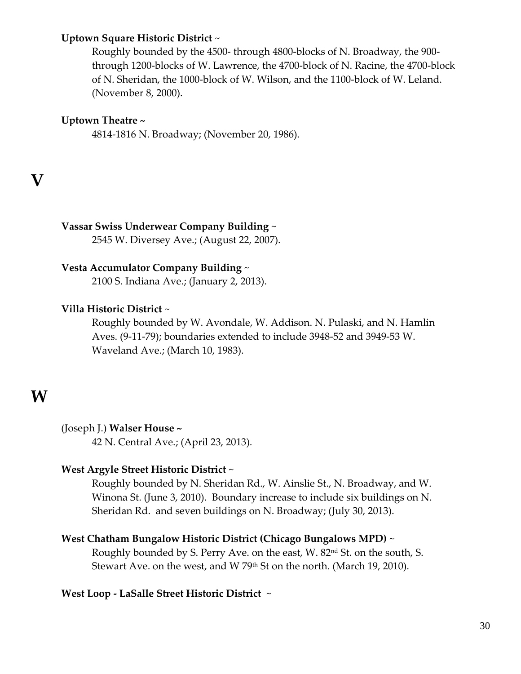### **Uptown Square Historic District** ~

Roughly bounded by the 4500- through 4800-blocks of N. Broadway, the 900 through 1200-blocks of W. Lawrence, the 4700-block of N. Racine, the 4700-block of N. Sheridan, the 1000-block of W. Wilson, and the 1100-block of W. Leland. (November 8, 2000).

### **Uptown Theatre ~**

4814-1816 N. Broadway; (November 20, 1986).

# **V**

# **Vassar Swiss Underwear Company Building** ~

2545 W. Diversey Ave.; (August 22, 2007).

# **Vesta Accumulator Company Building** ~

2100 S. Indiana Ave.; (January 2, 2013).

# **Villa Historic District** ~

Roughly bounded by W. Avondale, W. Addison. N. Pulaski, and N. Hamlin Aves. (9-11-79); boundaries extended to include 3948-52 and 3949-53 W. Waveland Ave.; (March 10, 1983).

# **W**

# (Joseph J.) **Walser House ~**

42 N. Central Ave.; (April 23, 2013).

#### **West Argyle Street Historic District** ~

Roughly bounded by N. Sheridan Rd., W. Ainslie St., N. Broadway, and W. Winona St. (June 3, 2010). Boundary increase to include six buildings on N. Sheridan Rd. and seven buildings on N. Broadway; (July 30, 2013).

#### **West Chatham Bungalow Historic District (Chicago Bungalows MPD)** ~

Roughly bounded by S. Perry Ave. on the east, W. 82<sup>nd</sup> St. on the south, S. Stewart Ave. on the west, and W 79<sup>th</sup> St on the north. (March 19, 2010).

#### **West Loop - LaSalle Street Historic District** ~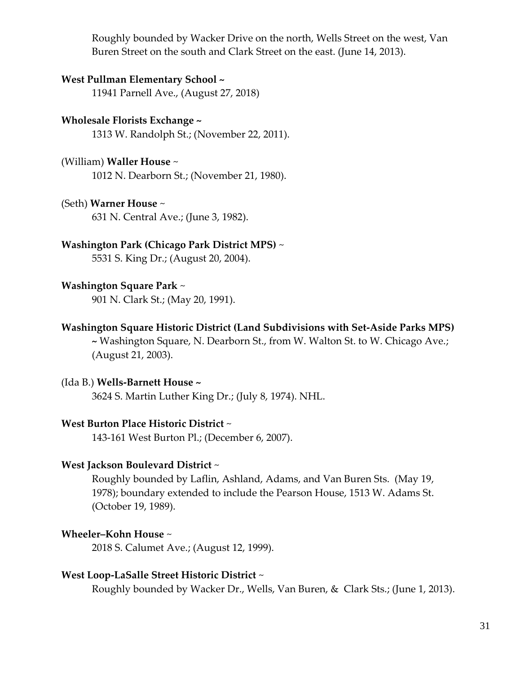Roughly bounded by Wacker Drive on the north, Wells Street on the west, Van Buren Street on the south and Clark Street on the east. (June 14, 2013).

#### **West Pullman Elementary School ~**

11941 Parnell Ave., (August 27, 2018)

#### **Wholesale Florists Exchange ~**

1313 W. Randolph St.; (November 22, 2011).

#### (William) **Waller House** ~

1012 N. Dearborn St.; (November 21, 1980).

#### (Seth) **Warner House** ~

631 N. Central Ave.; (June 3, 1982).

#### **Washington Park (Chicago Park District MPS)** ~

5531 S. King Dr.; (August 20, 2004).

#### **Washington Square Park** ~

901 N. Clark St.; (May 20, 1991).

#### **Washington Square Historic District (Land Subdivisions with Set-Aside Parks MPS)**

**~** Washington Square, N. Dearborn St., from W. Walton St. to W. Chicago Ave.; (August 21, 2003).

#### (Ida B.) **Wells-Barnett House ~**

3624 S. Martin Luther King Dr.; (July 8, 1974). NHL.

#### **West Burton Place Historic District** ~

143-161 West Burton Pl.; (December 6, 2007).

#### **West Jackson Boulevard District** ~

Roughly bounded by Laflin, Ashland, Adams, and Van Buren Sts. (May 19, 1978); boundary extended to include the Pearson House, 1513 W. Adams St. (October 19, 1989).

#### **Wheeler–Kohn House** ~

2018 S. Calumet Ave.; (August 12, 1999).

#### **West Loop-LaSalle Street Historic District** ~

Roughly bounded by Wacker Dr., Wells, Van Buren, & Clark Sts.; (June 1, 2013).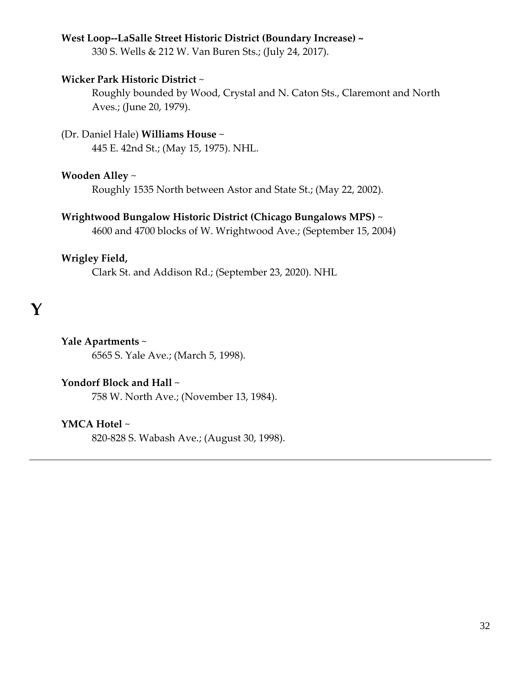# **West Loop--LaSalle Street Historic District (Boundary Increase) ~**

330 S. Wells & 212 W. Van Buren Sts.; (July 24, 2017).

### **Wicker Park Historic District** ~

Roughly bounded by Wood, Crystal and N. Caton Sts., Claremont and North Aves.; (June 20, 1979).

(Dr. Daniel Hale) **Williams House** ~ 445 E. 42nd St.; (May 15, 1975). NHL.

#### **Wooden Alley** ~

Roughly 1535 North between Astor and State St.; (May 22, 2002).

### **Wrightwood Bungalow Historic District (Chicago Bungalows MPS)** ~

4600 and 4700 blocks of W. Wrightwood Ave.; (September 15, 2004)

#### **Wrigley Field,**

Clark St. and Addison Rd.; (September 23, 2020). NHL

# **Y**

# **Yale Apartments** ~

6565 S. Yale Ave.; (March 5, 1998).

#### **Yondorf Block and Hall** ~

758 W. North Ave.; (November 13, 1984).

#### **YMCA Hotel** ~

820-828 S. Wabash Ave.; (August 30, 1998).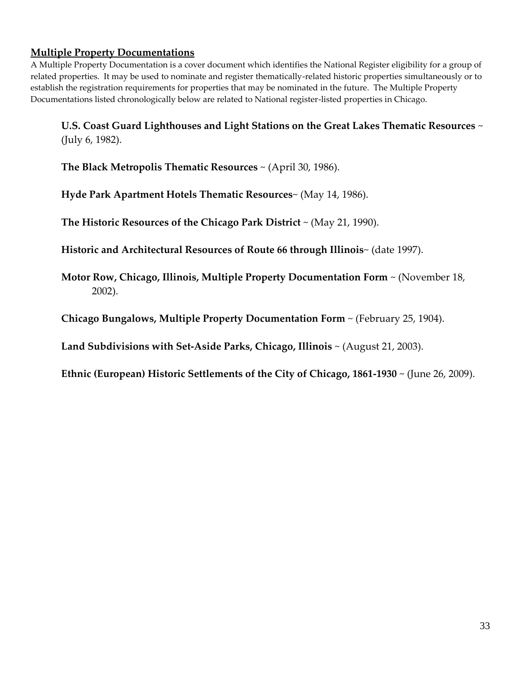# **Multiple Property Documentations**

A Multiple Property Documentation is a cover document which identifies the National Register eligibility for a group of related properties. It may be used to nominate and register thematically-related historic properties simultaneously or to establish the registration requirements for properties that may be nominated in the future. The Multiple Property Documentations listed chronologically below are related to National register-listed properties in Chicago.

**U.S. Coast Guard Lighthouses and Light Stations on the Great Lakes Thematic Resources** ~ (July 6, 1982).

**The Black Metropolis Thematic Resources** ~ (April 30, 1986).

**Hyde Park Apartment Hotels Thematic Resources**~ (May 14, 1986).

**The Historic Resources of the Chicago Park District** ~ (May 21, 1990).

**[Historic and Architectural Resources of](https://en.wikipedia.org/wiki/Historic_and_Architectural_Resources_of_Route_66_Through_Illinois) Route 66 through Illinois**~ (date 1997).

**Motor Row, Chicago, Illinois, Multiple Property Documentation Form** ~ (November 18, 2002).

**Chicago Bungalows, Multiple Property Documentation Form** ~ (February 25, 1904).

**Land Subdivisions with Set-Aside Parks, Chicago, Illinois** ~ (August 21, 2003).

**Ethnic (European) Historic Settlements of the City of Chicago, 1861-1930** ~ (June 26, 2009).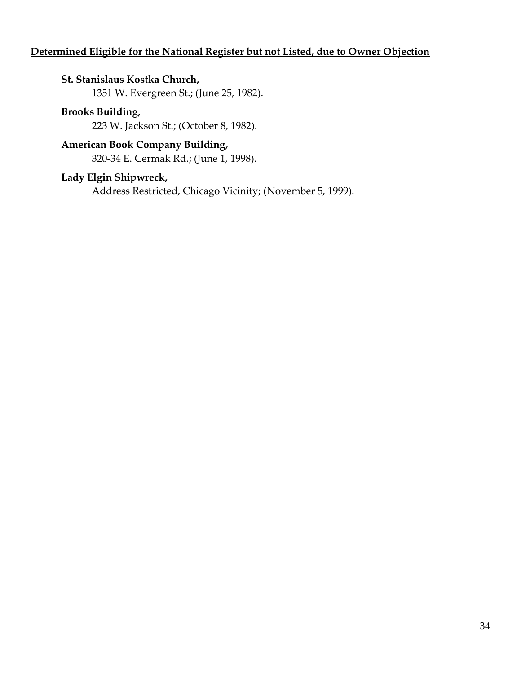# **Determined Eligible for the National Register but not Listed, due to Owner Objection**

# **St. Stanislaus Kostka Church,**

1351 W. Evergreen St.; (June 25, 1982).

# **Brooks Building,**

223 W. Jackson St.; (October 8, 1982).

# **American Book Company Building,**

320-34 E. Cermak Rd.; (June 1, 1998).

# **Lady Elgin Shipwreck,**

Address Restricted, Chicago Vicinity; (November 5, 1999).